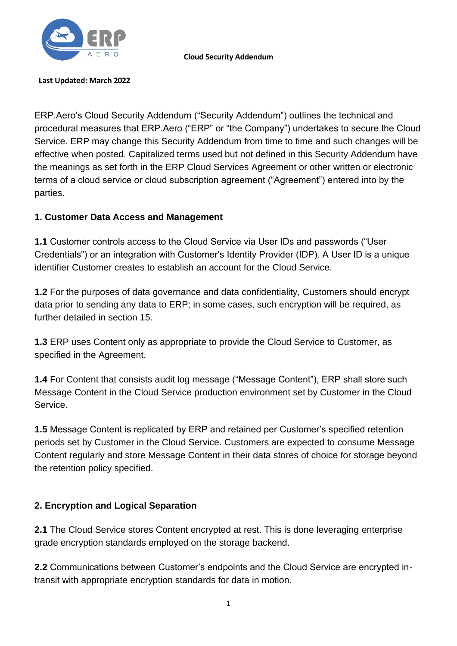

**Cloud Security Addendum**

#### **Last Updated: March 2022**

ERP.Aero's Cloud Security Addendum ("Security Addendum") outlines the technical and procedural measures that ERP.Aero ("ERP" or "the Company") undertakes to secure the Cloud Service. ERP may change this Security Addendum from time to time and such changes will be effective when posted. Capitalized terms used but not defined in this Security Addendum have the meanings as set forth in the ERP Cloud Services Agreement or other written or electronic terms of a cloud service or cloud subscription agreement ("Agreement") entered into by the parties.

#### **1. Customer Data Access and Management**

**1.1** Customer controls access to the Cloud Service via User IDs and passwords ("User Credentials") or an integration with Customer's Identity Provider (IDP). A User ID is a unique identifier Customer creates to establish an account for the Cloud Service.

**1.2** For the purposes of data governance and data confidentiality, Customers should encrypt data prior to sending any data to ERP; in some cases, such encryption will be required, as further detailed in section 15.

**1.3** ERP uses Content only as appropriate to provide the Cloud Service to Customer, as specified in the Agreement.

**1.4** For Content that consists audit log message ("Message Content"), ERP shall store such Message Content in the Cloud Service production environment set by Customer in the Cloud Service.

**1.5** Message Content is replicated by ERP and retained per Customer's specified retention periods set by Customer in the Cloud Service. Customers are expected to consume Message Content regularly and store Message Content in their data stores of choice for storage beyond the retention policy specified.

#### **2. Encryption and Logical Separation**

**2.1** The Cloud Service stores Content encrypted at rest. This is done leveraging enterprise grade encryption standards employed on the storage backend.

**2.2** Communications between Customer's endpoints and the Cloud Service are encrypted intransit with appropriate encryption standards for data in motion.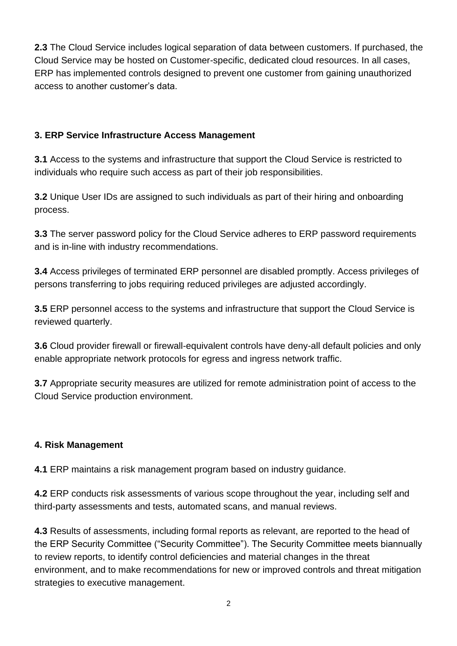**2.3** The Cloud Service includes logical separation of data between customers. If purchased, the Cloud Service may be hosted on Customer-specific, dedicated cloud resources. In all cases, ERP has implemented controls designed to prevent one customer from gaining unauthorized access to another customer's data.

## **3. ERP Service Infrastructure Access Management**

**3.1** Access to the systems and infrastructure that support the Cloud Service is restricted to individuals who require such access as part of their job responsibilities.

**3.2** Unique User IDs are assigned to such individuals as part of their hiring and onboarding process.

**3.3** The server password policy for the Cloud Service adheres to ERP password requirements and is in-line with industry recommendations.

**3.4** Access privileges of terminated ERP personnel are disabled promptly. Access privileges of persons transferring to jobs requiring reduced privileges are adjusted accordingly.

**3.5** ERP personnel access to the systems and infrastructure that support the Cloud Service is reviewed quarterly.

**3.6** Cloud provider firewall or firewall-equivalent controls have deny-all default policies and only enable appropriate network protocols for egress and ingress network traffic.

**3.7** Appropriate security measures are utilized for remote administration point of access to the Cloud Service production environment.

## **4. Risk Management**

**4.1** ERP maintains a risk management program based on industry guidance.

**4.2** ERP conducts risk assessments of various scope throughout the year, including self and third-party assessments and tests, automated scans, and manual reviews.

**4.3** Results of assessments, including formal reports as relevant, are reported to the head of the ERP Security Committee ("Security Committee"). The Security Committee meets biannually to review reports, to identify control deficiencies and material changes in the threat environment, and to make recommendations for new or improved controls and threat mitigation strategies to executive management.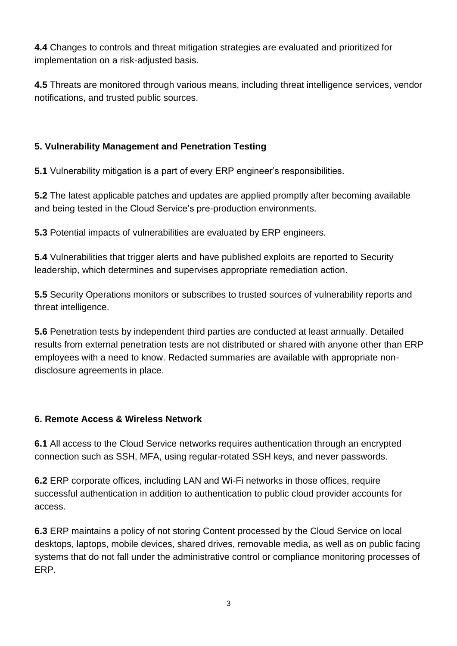**4.4** Changes to controls and threat mitigation strategies are evaluated and prioritized for implementation on a risk-adjusted basis.

**4.5** Threats are monitored through various means, including threat intelligence services, vendor notifications, and trusted public sources.

# **5. Vulnerability Management and Penetration Testing**

**5.1** Vulnerability mitigation is a part of every ERP engineer's responsibilities.

**5.2** The latest applicable patches and updates are applied promptly after becoming available and being tested in the Cloud Service's pre-production environments.

**5.3** Potential impacts of vulnerabilities are evaluated by ERP engineers.

**5.4** Vulnerabilities that trigger alerts and have published exploits are reported to Security leadership, which determines and supervises appropriate remediation action.

**5.5** Security Operations monitors or subscribes to trusted sources of vulnerability reports and threat intelligence.

**5.6** Penetration tests by independent third parties are conducted at least annually. Detailed results from external penetration tests are not distributed or shared with anyone other than ERP employees with a need to know. Redacted summaries are available with appropriate nondisclosure agreements in place.

## **6. Remote Access & Wireless Network**

**6.1** All access to the Cloud Service networks requires authentication through an encrypted connection such as SSH, MFA, using regular-rotated SSH keys, and never passwords.

**6.2** ERP corporate offices, including LAN and Wi-Fi networks in those offices, require successful authentication in addition to authentication to public cloud provider accounts for access.

**6.3** ERP maintains a policy of not storing Content processed by the Cloud Service on local desktops, laptops, mobile devices, shared drives, removable media, as well as on public facing systems that do not fall under the administrative control or compliance monitoring processes of ERP.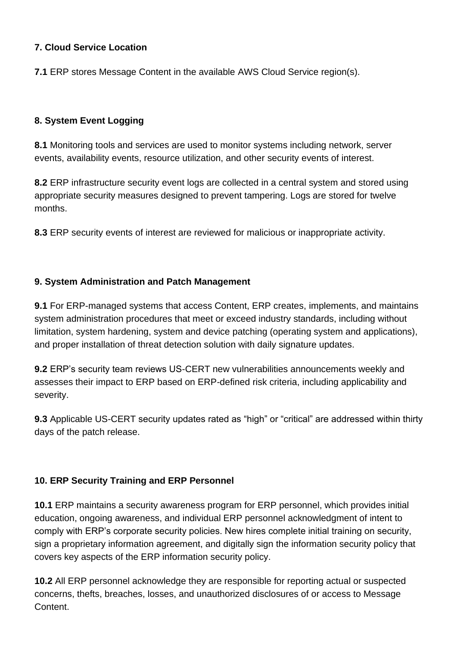#### **7. Cloud Service Location**

**7.1** ERP stores Message Content in the available AWS Cloud Service region(s).

## **8. System Event Logging**

**8.1** Monitoring tools and services are used to monitor systems including network, server events, availability events, resource utilization, and other security events of interest.

**8.2** ERP infrastructure security event logs are collected in a central system and stored using appropriate security measures designed to prevent tampering. Logs are stored for twelve months.

**8.3** ERP security events of interest are reviewed for malicious or inappropriate activity.

## **9. System Administration and Patch Management**

**9.1** For ERP-managed systems that access Content, ERP creates, implements, and maintains system administration procedures that meet or exceed industry standards, including without limitation, system hardening, system and device patching (operating system and applications), and proper installation of threat detection solution with daily signature updates.

**9.2** ERP's security team reviews US-CERT new vulnerabilities announcements weekly and assesses their impact to ERP based on ERP-defined risk criteria, including applicability and severity.

**9.3** Applicable US-CERT security updates rated as "high" or "critical" are addressed within thirty days of the patch release.

## **10. ERP Security Training and ERP Personnel**

**10.1** ERP maintains a security awareness program for ERP personnel, which provides initial education, ongoing awareness, and individual ERP personnel acknowledgment of intent to comply with ERP's corporate security policies. New hires complete initial training on security, sign a proprietary information agreement, and digitally sign the information security policy that covers key aspects of the ERP information security policy.

**10.2** All ERP personnel acknowledge they are responsible for reporting actual or suspected concerns, thefts, breaches, losses, and unauthorized disclosures of or access to Message Content.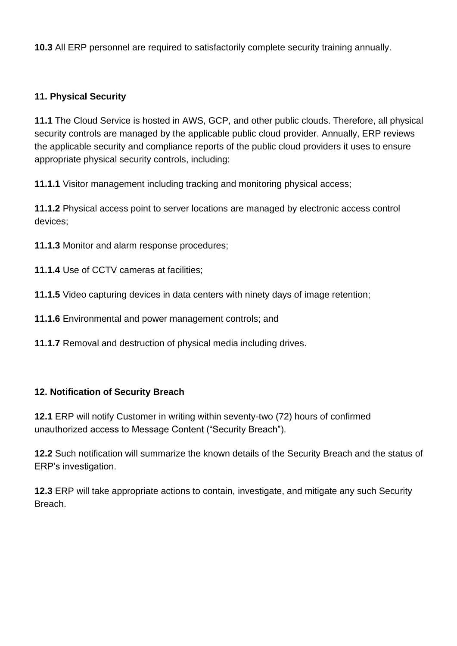**10.3** All ERP personnel are required to satisfactorily complete security training annually.

#### **11. Physical Security**

**11.1** The Cloud Service is hosted in AWS, GCP, and other public clouds. Therefore, all physical security controls are managed by the applicable public cloud provider. Annually, ERP reviews the applicable security and compliance reports of the public cloud providers it uses to ensure appropriate physical security controls, including:

**11.1.1** Visitor management including tracking and monitoring physical access;

**11.1.2** Physical access point to server locations are managed by electronic access control devices;

**11.1.3** Monitor and alarm response procedures;

**11.1.4** Use of CCTV cameras at facilities;

**11.1.5** Video capturing devices in data centers with ninety days of image retention;

**11.1.6** Environmental and power management controls; and

**11.1.7** Removal and destruction of physical media including drives.

#### **12. Notification of Security Breach**

**12.1** ERP will notify Customer in writing within seventy-two (72) hours of confirmed unauthorized access to Message Content ("Security Breach").

**12.2** Such notification will summarize the known details of the Security Breach and the status of ERP's investigation.

**12.3** ERP will take appropriate actions to contain, investigate, and mitigate any such Security Breach.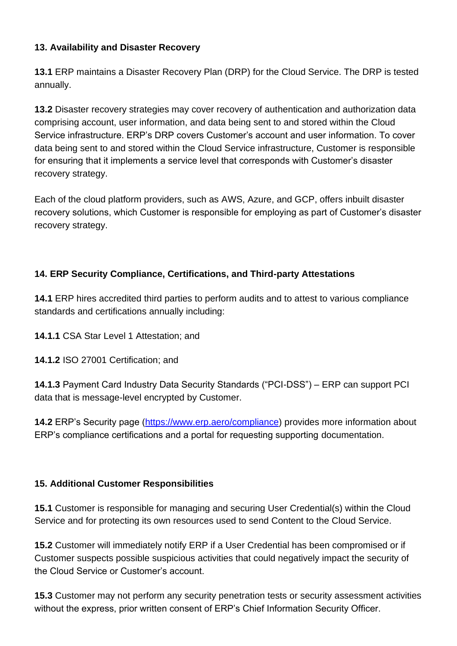## **13. Availability and Disaster Recovery**

**13.1** ERP maintains a Disaster Recovery Plan (DRP) for the Cloud Service. The DRP is tested annually.

**13.2** Disaster recovery strategies may cover recovery of authentication and authorization data comprising account, user information, and data being sent to and stored within the Cloud Service infrastructure. ERP's DRP covers Customer's account and user information. To cover data being sent to and stored within the Cloud Service infrastructure, Customer is responsible for ensuring that it implements a service level that corresponds with Customer's disaster recovery strategy.

Each of the cloud platform providers, such as AWS, Azure, and GCP, offers inbuilt disaster recovery solutions, which Customer is responsible for employing as part of Customer's disaster recovery strategy.

## **14. ERP Security Compliance, Certifications, and Third-party Attestations**

**14.1** ERP hires accredited third parties to perform audits and to attest to various compliance standards and certifications annually including:

**14.1.1** CSA Star Level 1 Attestation; and

**14.1.2** ISO 27001 Certification; and

**14.1.3** Payment Card Industry Data Security Standards ("PCI-DSS") – ERP can support PCI data that is message-level encrypted by Customer.

**14.2** ERP's Security page [\(https://www.erp.aero/compliance\)](https://www.erp.aero/compliance) provides more information about ERP's compliance certifications and a portal for requesting supporting documentation.

#### **15. Additional Customer Responsibilities**

**15.1** Customer is responsible for managing and securing User Credential(s) within the Cloud Service and for protecting its own resources used to send Content to the Cloud Service.

**15.2** Customer will immediately notify ERP if a User Credential has been compromised or if Customer suspects possible suspicious activities that could negatively impact the security of the Cloud Service or Customer's account.

without the express, prior written consent of ERP's Chief Information Security Officer. **15.3** Customer may not perform any security penetration tests or security assessment activities